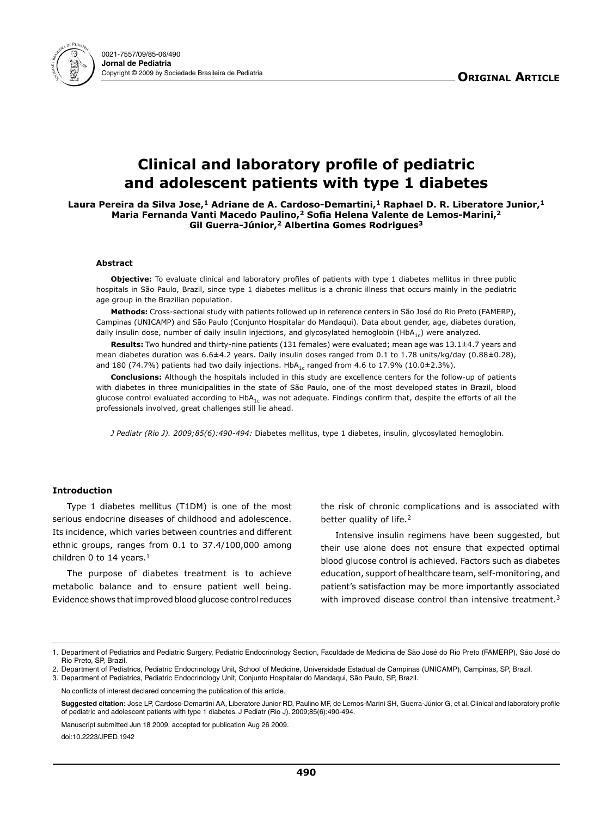

# **Clinical and laboratory profile of pediatric and adolescent patients with type 1 diabetes**

Laura Pereira da Silva Jose,<sup>1</sup> Adriane de A. Cardoso-Demartini,<sup>1</sup> Raphael D. R. Liberatore Junior,<sup>1</sup> **Maria Fernanda Vanti Macedo Paulino,2 Sofia Helena Valente de Lemos-Marini,<sup>2</sup> Gil Guerra-Júnior,2 Albertina Gomes Rodrigues3**

## **Abstract**

**Objective:** To evaluate clinical and laboratory profiles of patients with type 1 diabetes mellitus in three public hospitals in São Paulo, Brazil, since type 1 diabetes mellitus is a chronic illness that occurs mainly in the pediatric age group in the Brazilian population.

**Methods:** Cross-sectional study with patients followed up in reference centers in São José do Rio Preto (FAMERP), Campinas (UNICAMP) and São Paulo (Conjunto Hospitalar do Mandaqui). Data about gender, age, diabetes duration, daily insulin dose, number of daily insulin injections, and glycosylated hemoglobin (HbA<sub>1c</sub>) were analyzed.

**Results:** Two hundred and thirty-nine patients (131 females) were evaluated; mean age was 13.1±4.7 years and mean diabetes duration was 6.6±4.2 years. Daily insulin doses ranged from 0.1 to 1.78 units/kg/day (0.88±0.28), and 180 (74.7%) patients had two daily injections.  $HbA_{1c}$  ranged from 4.6 to 17.9% (10.0±2.3%).

**Conclusions:** Although the hospitals included in this study are excellence centers for the follow-up of patients with diabetes in three municipalities in the state of São Paulo, one of the most developed states in Brazil, blood glucose control evaluated according to  $HDA_{1c}$  was not adequate. Findings confirm that, despite the efforts of all the professionals involved, great challenges still lie ahead.

*J Pediatr (Rio J). 2009;85(6):490-494:* Diabetes mellitus, type 1 diabetes, insulin, glycosylated hemoglobin.

## **Introduction**

Type 1 diabetes mellitus (T1DM) is one of the most serious endocrine diseases of childhood and adolescence. Its incidence, which varies between countries and different ethnic groups, ranges from 0.1 to 37.4/100,000 among children 0 to 14 years.<sup>1</sup>

The purpose of diabetes treatment is to achieve metabolic balance and to ensure patient well being. Evidence shows that improved blood glucose control reduces the risk of chronic complications and is associated with better quality of life.<sup>2</sup>

Intensive insulin regimens have been suggested, but their use alone does not ensure that expected optimal blood glucose control is achieved. Factors such as diabetes education, support of healthcare team, self-monitoring, and patient's satisfaction may be more importantly associated with improved disease control than intensive treatment.<sup>3</sup>

3. Department of Pediatrics, Pediatric Endocrinology Unit, Conjunto Hospitalar do Mandaqui, São Paulo, SP, Brazil.

No conflicts of interest declared concerning the publication of this article.

**Suggested citation:** Jose LP, Cardoso-Demartini AA, Liberatore Junior RD, Paulino MF, de Lemos-Marini SH, Guerra-Júnior G, et al. Clinical and laboratory profile of pediatric and adolescent patients with type 1 diabetes. J Pediatr (Rio J). 2009;85(6):490-494.

Manuscript submitted Jun 18 2009, accepted for publication Aug 26 2009.

doi:10.2223/JPED.1942

<sup>1.</sup> Department of Pediatrics and Pediatric Surgery, Pediatric Endocrinology Section, Faculdade de Medicina de São José do Rio Preto (FAMERP), São José do Rio Preto, SP, Brazil.

<sup>2.</sup> Department of Pediatrics, Pediatric Endocrinology Unit, School of Medicine, Universidade Estadual de Campinas (UNICAMP), Campinas, SP, Brazil.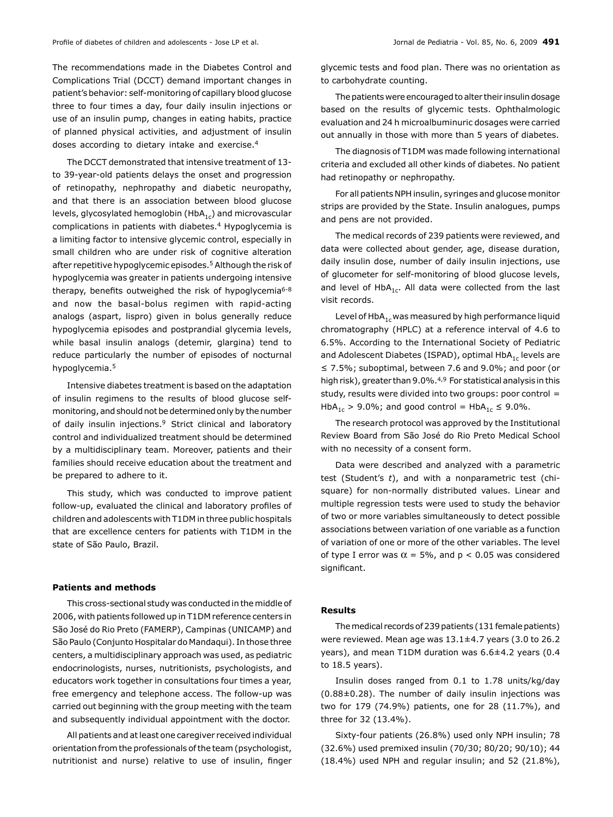The recommendations made in the Diabetes Control and Complications Trial (DCCT) demand important changes in patient's behavior: self-monitoring of capillary blood glucose three to four times a day, four daily insulin injections or use of an insulin pump, changes in eating habits, practice of planned physical activities, and adjustment of insulin doses according to dietary intake and exercise.4

The DCCT demonstrated that intensive treatment of 13 to 39-year-old patients delays the onset and progression of retinopathy, nephropathy and diabetic neuropathy, and that there is an association between blood glucose levels, glycosylated hemoglobin (HbA $_{1c}$ ) and microvascular complications in patients with diabetes.4 Hypoglycemia is a limiting factor to intensive glycemic control, especially in small children who are under risk of cognitive alteration after repetitive hypoglycemic episodes.<sup>5</sup> Although the risk of hypoglycemia was greater in patients undergoing intensive therapy, benefits outweighed the risk of hypoglycemia<sup>6-8</sup> and now the basal-bolus regimen with rapid-acting analogs (aspart, lispro) given in bolus generally reduce hypoglycemia episodes and postprandial glycemia levels, while basal insulin analogs (detemir, glargina) tend to reduce particularly the number of episodes of nocturnal hypoglycemia.5

Intensive diabetes treatment is based on the adaptation of insulin regimens to the results of blood glucose selfmonitoring, and should not be determined only by the number of daily insulin injections.9 Strict clinical and laboratory control and individualized treatment should be determined by a multidisciplinary team. Moreover, patients and their families should receive education about the treatment and be prepared to adhere to it.

This study, which was conducted to improve patient follow-up, evaluated the clinical and laboratory profiles of children and adolescents with T1DM in three public hospitals that are excellence centers for patients with T1DM in the state of São Paulo, Brazil.

## **Patients and methods**

This cross-sectional study was conducted in the middle of 2006, with patients followed up in T1DM reference centers in São José do Rio Preto (FAMERP), Campinas (UNICAMP) and São Paulo (Conjunto Hospitalar do Mandaqui). In those three centers, a multidisciplinary approach was used, as pediatric endocrinologists, nurses, nutritionists, psychologists, and educators work together in consultations four times a year, free emergency and telephone access. The follow-up was carried out beginning with the group meeting with the team and subsequently individual appointment with the doctor.

All patients and at least one caregiver received individual orientation from the professionals of the team (psychologist, nutritionist and nurse) relative to use of insulin, finger glycemic tests and food plan. There was no orientation as to carbohydrate counting.

The patients were encouraged to alter their insulin dosage based on the results of glycemic tests. Ophthalmologic evaluation and 24 h microalbuminuric dosages were carried out annually in those with more than 5 years of diabetes.

The diagnosis of T1DM was made following international criteria and excluded all other kinds of diabetes. No patient had retinopathy or nephropathy.

For all patients NPH insulin, syringes and glucose monitor strips are provided by the State. Insulin analogues, pumps and pens are not provided.

The medical records of 239 patients were reviewed, and data were collected about gender, age, disease duration, daily insulin dose, number of daily insulin injections, use of glucometer for self-monitoring of blood glucose levels, and level of HbA<sub>1c</sub>. All data were collected from the last visit records.

Level of HbA $_{1c}$  was measured by high performance liquid chromatography (HPLC) at a reference interval of 4.6 to 6.5%. According to the International Society of Pediatric and Adolescent Diabetes (ISPAD), optimal HbA<sub>1c</sub> levels are ≤ 7.5%; suboptimal, between 7.6 and 9.0%; and poor (or high risk), greater than 9.0%.4,9 For statistical analysis in this study, results were divided into two groups: poor control = HbA<sub>1c</sub> > 9.0%; and good control = HbA<sub>1c</sub>  $\leq$  9.0%.

The research protocol was approved by the Institutional Review Board from São José do Rio Preto Medical School with no necessity of a consent form.

Data were described and analyzed with a parametric test (Student's *t*), and with a nonparametric test (chisquare) for non-normally distributed values. Linear and multiple regression tests were used to study the behavior of two or more variables simultaneously to detect possible associations between variation of one variable as a function of variation of one or more of the other variables. The level of type I error was  $\alpha = 5\%$ , and  $p < 0.05$  was considered significant.

## **Results**

The medical records of 239 patients (131 female patients) were reviewed. Mean age was 13.1±4.7 years (3.0 to 26.2 years), and mean T1DM duration was 6.6±4.2 years (0.4 to 18.5 years).

Insulin doses ranged from 0.1 to 1.78 units/kg/day  $(0.88\pm0.28)$ . The number of daily insulin injections was two for 179 (74.9%) patients, one for 28 (11.7%), and three for 32 (13.4%).

Sixty-four patients (26.8%) used only NPH insulin; 78 (32.6%) used premixed insulin (70/30; 80/20; 90/10); 44 (18.4%) used NPH and regular insulin; and 52 (21.8%),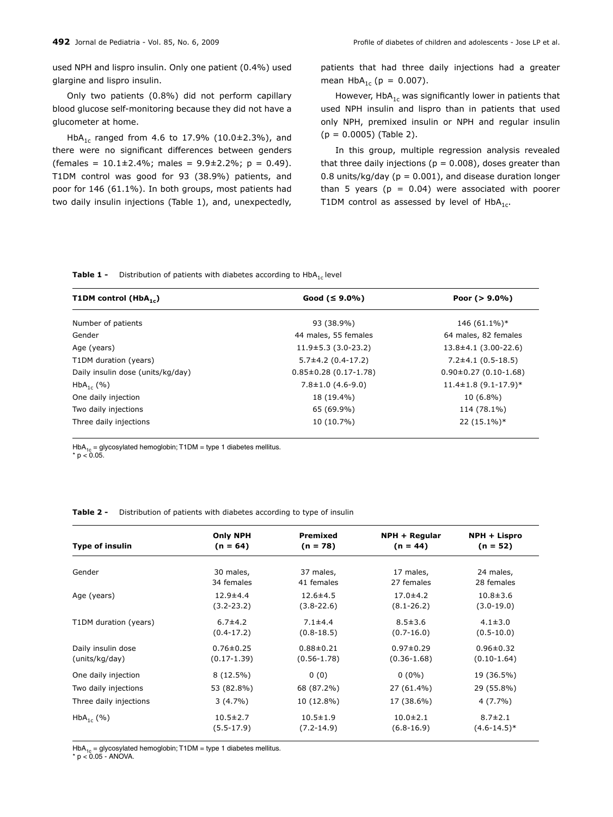used NPH and lispro insulin. Only one patient (0.4%) used glargine and lispro insulin.

Only two patients (0.8%) did not perform capillary blood glucose self-monitoring because they did not have a glucometer at home.

HbA<sub>1c</sub> ranged from 4.6 to 17.9% (10.0±2.3%), and there were no significant differences between genders  $($ females = 10.1±2.4%; males = 9.9±2.2%; p = 0.49). T1DM control was good for 93 (38.9%) patients, and poor for 146 (61.1%). In both groups, most patients had two daily insulin injections (Table 1), and, unexpectedly, patients that had three daily injections had a greater mean  $HbA_{1c}$  (p = 0.007).

However,  $HbA_{1c}$  was significantly lower in patients that used NPH insulin and lispro than in patients that used only NPH, premixed insulin or NPH and regular insulin  $(p = 0.0005)$  (Table 2).

In this group, multiple regression analysis revealed that three daily injections ( $p = 0.008$ ), doses greater than 0.8 units/kg/day ( $p = 0.001$ ), and disease duration longer than 5 years ( $p = 0.04$ ) were associated with poorer T1DM control as assessed by level of  $HbA_{1c}$ .

**Table 1 -** Distribution of patients with diabetes according to HbA<sub>1c</sub> level

| T1DM control ( $HbA_{1c}$ )       | Good $(5.9.0\%)$            | Poor $(>9.0\%)$            |
|-----------------------------------|-----------------------------|----------------------------|
| Number of patients                | 93 (38.9%)                  | 146 (61.1%)*               |
| Gender                            | 44 males, 55 females        | 64 males, 82 females       |
| Age (years)                       | $11.9 \pm 5.3$ (3.0-23.2)   | $13.8 \pm 4.1$ (3.00-22.6) |
| T1DM duration (years)             | $5.7\pm4.2$ (0.4-17.2)      | $7.2\pm4.1(0.5-18.5)$      |
| Daily insulin dose (units/kg/day) | $0.85 \pm 0.28$ (0.17-1.78) | $0.90\pm0.27$ (0.10-1.68)  |
| $HbA_{1c}$ (%)                    | $7.8 \pm 1.0$ (4.6-9.0)     | $11.4 \pm 1.8$ (9.1-17.9)* |
| One daily injection               | 18 (19.4%)                  | $10(6.8\%)$                |
| Two daily injections              | 65 (69.9%)                  | 114 (78.1%)                |
| Three daily injections            | 10 (10.7%)                  | $22(15.1\%)*$              |

HbA<sub>1c</sub> = glycosylated hemoglobin; T1DM = type 1 diabetes mellitus.  $* n < 0.05$ 

| Table 2 - | Distribution of patients with diabetes according to type of insulin |  |  |  |  |  |
|-----------|---------------------------------------------------------------------|--|--|--|--|--|
|-----------|---------------------------------------------------------------------|--|--|--|--|--|

| <b>Type of insulin</b> | <b>Only NPH</b> | Premixed        | NPH + Regular   | NPH + Lispro     |
|------------------------|-----------------|-----------------|-----------------|------------------|
|                        | $(n = 64)$      | $(n = 78)$      | $(n = 44)$      | $(n = 52)$       |
| Gender                 | 30 males,       | 37 males,       | 17 males,       | 24 males,        |
|                        | 34 females      | 41 females      | 27 females      | 28 females       |
| Age (years)            | $12.9 \pm 4.4$  | $12.6 \pm 4.5$  | $17.0 \pm 4.2$  | $10.8 \pm 3.6$   |
|                        | $(3.2 - 23.2)$  | $(3.8 - 22.6)$  | $(8.1 - 26.2)$  | $(3.0-19.0)$     |
| T1DM duration (years)  | $6.7 + 4.2$     | $7.1 \pm 4.4$   | $8.5 \pm 3.6$   | $4.1 \pm 3.0$    |
|                        | $(0.4 - 17.2)$  | $(0.8 - 18.5)$  | $(0.7 - 16.0)$  | $(0.5 - 10.0)$   |
| Daily insulin dose     | $0.76 \pm 0.25$ | $0.88 \pm 0.21$ | $0.97 \pm 0.29$ | $0.96 \pm 0.32$  |
| (units/kg/day)         | $(0.17-1.39)$   | $(0.56 - 1.78)$ | $(0.36 - 1.68)$ | $(0.10-1.64)$    |
| One daily injection    | $8(12.5\%)$     | 0(0)            | $0(0\%)$        | 19 (36.5%)       |
| Two daily injections   | 53 (82.8%)      | 68 (87.2%)      | 27 (61.4%)      | 29 (55.8%)       |
| Three daily injections | $3(4.7\%)$      | 10 (12.8%)      | 17 (38.6%)      | $4(7.7\%)$       |
| $HbA_{1c}$ (%)         | $10.5 \pm 2.7$  | $10.5 \pm 1.9$  | $10.0 \pm 2.1$  | $8.7 \pm 2.1$    |
|                        | $(5.5-17.9)$    | $(7.2 - 14.9)$  | $(6.8 - 16.9)$  | $(4.6 - 14.5)^*$ |
|                        |                 |                 |                 |                  |

HbA<sub>1c</sub> = glycosylated hemoglobin; T1DM = type 1 diabetes mellitus.

 $* p < 0.05 - ANOVA$ .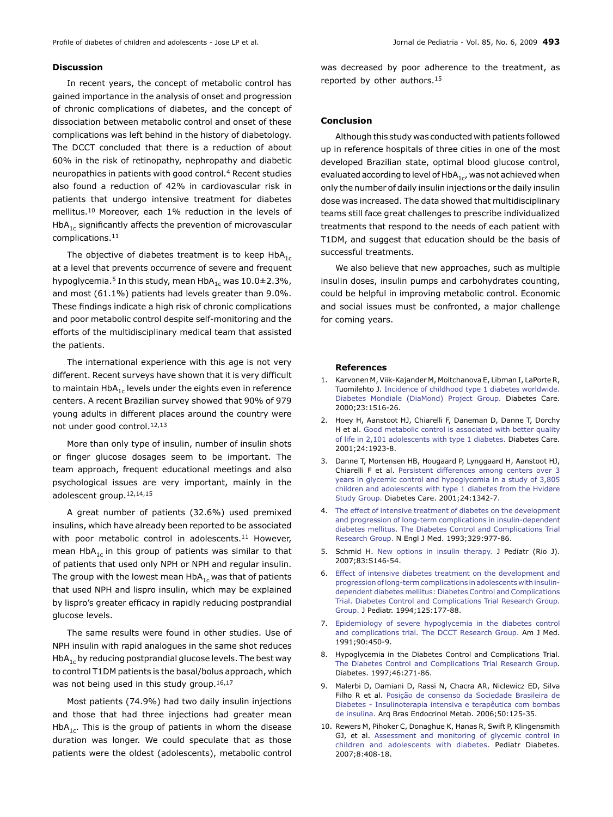## **Discussion**

In recent years, the concept of metabolic control has gained importance in the analysis of onset and progression of chronic complications of diabetes, and the concept of dissociation between metabolic control and onset of these complications was left behind in the history of diabetology. The DCCT concluded that there is a reduction of about 60% in the risk of retinopathy, nephropathy and diabetic neuropathies in patients with good control.4 Recent studies also found a reduction of 42% in cardiovascular risk in patients that undergo intensive treatment for diabetes mellitus.10 Moreover, each 1% reduction in the levels of  $HbA_{1c}$  significantly affects the prevention of microvascular complications.11

The objective of diabetes treatment is to keep  $HbA_{1c}$ at a level that prevents occurrence of severe and frequent hypoglycemia.<sup>5</sup> In this study, mean HbA<sub>1c</sub> was 10.0±2.3%, and most (61.1%) patients had levels greater than 9.0%. These findings indicate a high risk of chronic complications and poor metabolic control despite self-monitoring and the efforts of the multidisciplinary medical team that assisted the patients.

The international experience with this age is not very different. Recent surveys have shown that it is very difficult to maintain Hb $A_{1c}$  levels under the eights even in reference centers. A recent Brazilian survey showed that 90% of 979 young adults in different places around the country were not under good control.12,13

More than only type of insulin, number of insulin shots or finger glucose dosages seem to be important. The team approach, frequent educational meetings and also psychological issues are very important, mainly in the adolescent group.12,14,15

A great number of patients (32.6%) used premixed insulins, which have already been reported to be associated with poor metabolic control in adolescents.<sup>11</sup> However, mean HbA<sub>1c</sub> in this group of patients was similar to that of patients that used only NPH or NPH and regular insulin. The group with the lowest mean  $HDA_{1c}$  was that of patients that used NPH and lispro insulin, which may be explained by lispro's greater efficacy in rapidly reducing postprandial glucose levels.

The same results were found in other studies. Use of NPH insulin with rapid analogues in the same shot reduces HbA<sub>1c</sub> by reducing postprandial glucose levels. The best way to control T1DM patients is the basal/bolus approach, which was not being used in this study group.<sup>16,17</sup>

Most patients (74.9%) had two daily insulin injections and those that had three injections had greater mean HbA<sub>1c</sub>. This is the group of patients in whom the disease duration was longer. We could speculate that as those patients were the oldest (adolescents), metabolic control

was decreased by poor adherence to the treatment, as reported by other authors.15

## **Conclusion**

Although this study was conducted with patients followed up in reference hospitals of three cities in one of the most developed Brazilian state, optimal blood glucose control, evaluated according to level of  $HbA_{1c}$ , was not achieved when only the number of daily insulin injections or the daily insulin dose was increased. The data showed that multidisciplinary teams still face great challenges to prescribe individualized treatments that respond to the needs of each patient with T1DM, and suggest that education should be the basis of successful treatments.

We also believe that new approaches, such as multiple insulin doses, insulin pumps and carbohydrates counting, could be helpful in improving metabolic control. Economic and social issues must be confronted, a major challenge for coming years.

#### **References**

- 1. Karvonen M, Viik-Kajander M, Moltchanova E, Libman I, LaPorte R, Tuomilehto J. [Incidence of childhood type 1 diabetes worldwide.](http://www.ncbi.nlm.nih.gov/pubmed/11023146) [Diabetes Mondiale \(DiaMond\) Project Group.](http://www.ncbi.nlm.nih.gov/pubmed/11023146) Diabetes Care. 2000;23:1516-26.
- 2. Hoey H, Aanstoot HJ, Chiarelli F, Daneman D, Danne T, Dorchy H et al. [Good metabolic control is associated with better quality](http://www.ncbi.nlm.nih.gov/pubmed/11679458) [of life in 2,101 adolescents with type 1 diabetes.](http://www.ncbi.nlm.nih.gov/pubmed/11679458) Diabetes Care. 2001;24:1923-8.
- 3. Danne T, Mortensen HB, Hougaard P, Lynggaard H, Aanstoot HJ, Chiarelli F et al. [Persistent differences among centers over 3](http://www.ncbi.nlm.nih.gov/pubmed/11473067) [years in glycemic control and hypoglycemia in a study of 3,805](http://www.ncbi.nlm.nih.gov/pubmed/11473067) [children and adolescents with type 1 diabetes from the Hvidøre](http://www.ncbi.nlm.nih.gov/pubmed/11473067) [Study Group.](http://www.ncbi.nlm.nih.gov/pubmed/11473067) Diabetes Care. 2001;24:1342-7.
- 4. [The effect of intensive treatment of diabetes on the development](http://www.ncbi.nlm.nih.gov/pubmed/8366922) [and progression of long-term complications in insulin-dependent](http://www.ncbi.nlm.nih.gov/pubmed/8366922) [diabetes mellitus. The Diabetes Control and Complications Trial](http://www.ncbi.nlm.nih.gov/pubmed/8366922) [Research Group.](http://www.ncbi.nlm.nih.gov/pubmed/8366922) N Engl J Med. 1993;329:977-86.
- 5. Schmid H. [New options in insulin therapy.](http://www.ncbi.nlm.nih.gov/pubmed/18038020) J Pediatr (Rio J). 2007;83:S146-54.
- 6. [Effect of intensive diabetes treatment on the development and](http://www.ncbi.nlm.nih.gov/pubmed/8040759) [progression of long-term complications in adolescents with insulin](http://www.ncbi.nlm.nih.gov/pubmed/8040759)[dependent diabetes mellitus: Diabetes Control and Complications](http://www.ncbi.nlm.nih.gov/pubmed/8040759) [Trial. Diabetes Control and Complications Trial Research Group.](http://www.ncbi.nlm.nih.gov/pubmed/8040759) [Group.](http://www.ncbi.nlm.nih.gov/pubmed/8040759) J Pediatr. 1994;125:177-88.
- 7. [Epidemiology of severe hypoglycemia in the diabetes control](http://www.ncbi.nlm.nih.gov/pubmed/2012085) [and complications trial. The DCCT Research Group.](http://www.ncbi.nlm.nih.gov/pubmed/2012085) Am J Med. 1991;90:450-9.
- 8. Hypoglycemia in the Diabetes Control and Complications Trial. [The Diabetes Control and Complications Trial Research Grou](http://www.ncbi.nlm.nih.gov/pubmed/9000705)p. Diabetes. 1997;46:271-86.
- 9. Malerbi D, Damiani D, Rassi N, Chacra AR, Niclewicz ED, Silva Filho R et al. [Posição de consenso da Sociedade Brasileira de](http://www.ncbi.nlm.nih.gov/pubmed/16628285) [Diabetes - Insulinoterapia intensiva e terapêutica com bombas](http://www.ncbi.nlm.nih.gov/pubmed/16628285) [de insulina.](http://www.ncbi.nlm.nih.gov/pubmed/16628285) Arq Bras Endocrinol Metab. 2006;50:125-35.
- 10. Rewers M, Pihoker C, Donaghue K, Hanas R, Swift P, Klingensmith GJ, et al. [Assessment and monitoring of glycemic control in](http://www.ncbi.nlm.nih.gov/pubmed/18036070) [children and adolescents with diabetes.](http://www.ncbi.nlm.nih.gov/pubmed/18036070) Pediatr Diabetes. 2007;8:408‑18.